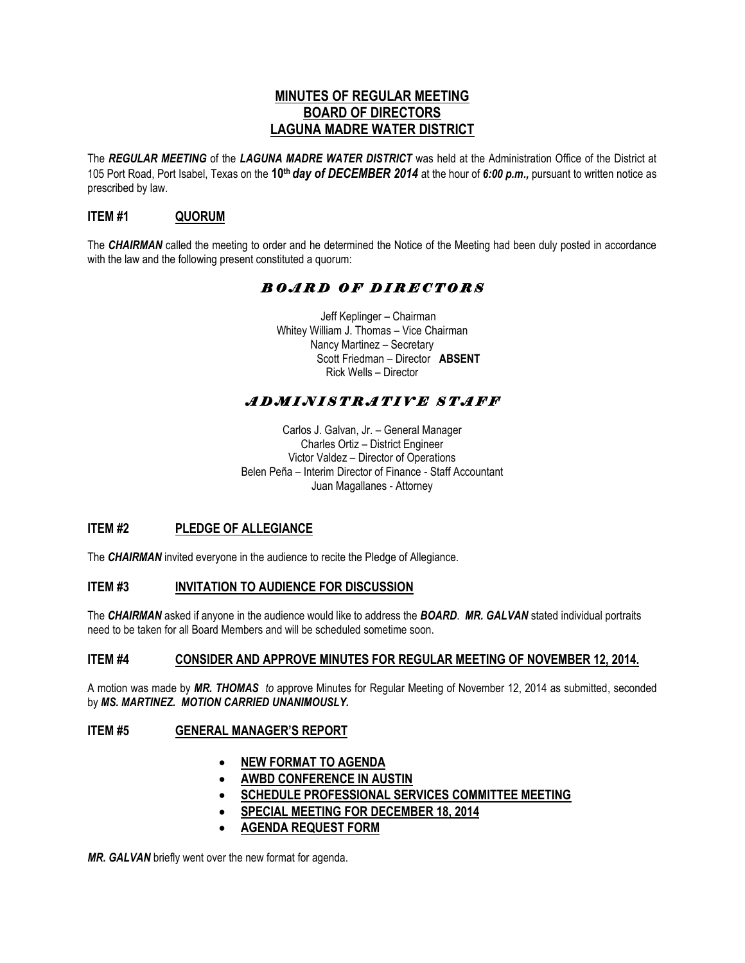# **MINUTES OF REGULAR MEETING BOARD OF DIRECTORS LAGUNA MADRE WATER DISTRICT**

The *REGULAR MEETING* of the *LAGUNA MADRE WATER DISTRICT* was held at the Administration Office of the District at 105 Port Road, Port Isabel, Texas on the **10th** *day of DECEMBER 2014* at the hour of *6:00 p.m.,* pursuant to written notice as prescribed by law.

# **ITEM #1 QUORUM**

The *CHAIRMAN* called the meeting to order and he determined the Notice of the Meeting had been duly posted in accordance with the law and the following present constituted a quorum:

# *B O A R D O F D I R E C T O R S*

 Jeff Keplinger – Chairman Whitey William J. Thomas – Vice Chairman Nancy Martinez – Secretary Scott Friedman – Director **ABSENT** Rick Wells – Director

# *A D M I N I S T R A T I V E S T A F F*

Carlos J. Galvan, Jr. – General Manager Charles Ortiz – District Engineer Victor Valdez – Director of Operations Belen Peña – Interim Director of Finance - Staff Accountant Juan Magallanes - Attorney

# **ITEM #2 PLEDGE OF ALLEGIANCE**

The *CHAIRMAN* invited everyone in the audience to recite the Pledge of Allegiance.

## **ITEM #3 INVITATION TO AUDIENCE FOR DISCUSSION**

The *CHAIRMAN* asked if anyone in the audience would like to address the *BOARD*. *MR. GALVAN* stated individual portraits need to be taken for all Board Members and will be scheduled sometime soon.

## **ITEM #4 CONSIDER AND APPROVE MINUTES FOR REGULAR MEETING OF NOVEMBER 12, 2014.**

A motion was made by *MR. THOMAS to* approve Minutes for Regular Meeting of November 12, 2014 as submitted, seconded by *MS. MARTINEZ. MOTION CARRIED UNANIMOUSLY.* 

# **ITEM #5 GENERAL MANAGER'S REPORT**

- **NEW FORMAT TO AGENDA**
- **AWBD CONFERENCE IN AUSTIN**
- **SCHEDULE PROFESSIONAL SERVICES COMMITTEE MEETING**
- **SPECIAL MEETING FOR DECEMBER 18, 2014**
- **AGENDA REQUEST FORM**

*MR. GALVAN* briefly went over the new format for agenda.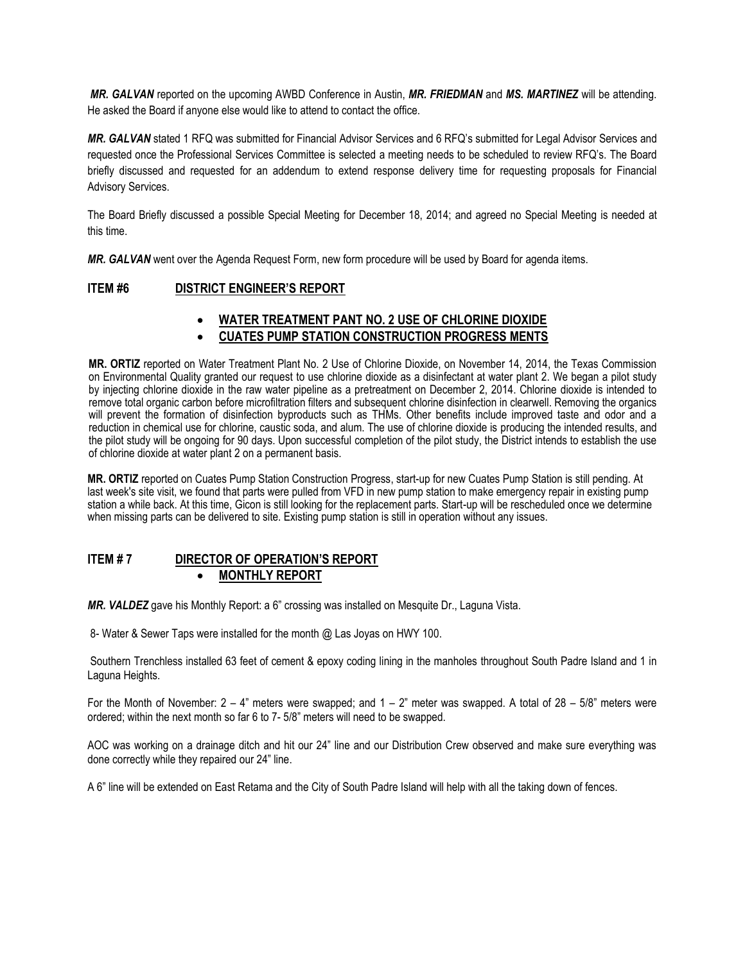*MR. GALVAN* reported on the upcoming AWBD Conference in Austin, *MR. FRIEDMAN* and *MS. MARTINEZ* will be attending. He asked the Board if anyone else would like to attend to contact the office.

*MR. GALVAN* stated 1 RFQ was submitted for Financial Advisor Services and 6 RFQ's submitted for Legal Advisor Services and requested once the Professional Services Committee is selected a meeting needs to be scheduled to review RFQ's. The Board briefly discussed and requested for an addendum to extend response delivery time for requesting proposals for Financial Advisory Services.

The Board Briefly discussed a possible Special Meeting for December 18, 2014; and agreed no Special Meeting is needed at this time.

*MR. GALVAN* went over the Agenda Request Form, new form procedure will be used by Board for agenda items.

## **ITEM #6 DISTRICT ENGINEER'S REPORT**

# **WATER TREATMENT PANT NO. 2 USE OF CHLORINE DIOXIDE**

# **CUATES PUMP STATION CONSTRUCTION PROGRESS MENTS**

**MR. ORTIZ** reported on Water Treatment Plant No. 2 Use of Chlorine Dioxide, on November 14, 2014, the Texas Commission on Environmental Quality granted our request to use chlorine dioxide as a disinfectant at water plant 2. We began a pilot study by injecting chlorine dioxide in the raw water pipeline as a pretreatment on December 2, 2014. Chlorine dioxide is intended to remove total organic carbon before microfiltration filters and subsequent chlorine disinfection in clearwell. Removing the organics will prevent the formation of disinfection byproducts such as THMs. Other benefits include improved taste and odor and a reduction in chemical use for chlorine, caustic soda, and alum. The use of chlorine dioxide is producing the intended results, and the pilot study will be ongoing for 90 days. Upon successful completion of the pilot study, the District intends to establish the use of chlorine dioxide at water plant 2 on a permanent basis.

**MR. ORTIZ** reported on Cuates Pump Station Construction Progress, start-up for new Cuates Pump Station is still pending. At last week's site visit, we found that parts were pulled from VFD in new pump station to make emergency repair in existing pump station a while back. At this time, Gicon is still looking for the replacement parts. Start-up will be rescheduled once we determine when missing parts can be delivered to site. Existing pump station is still in operation without any issues.

#### **ITEM # 7 DIRECTOR OF OPERATION'S REPORT MONTHLY REPORT**

*MR. VALDEZ* gave his Monthly Report: a 6" crossing was installed on Mesquite Dr., Laguna Vista.

8- Water & Sewer Taps were installed for the month @ Las Joyas on HWY 100.

Southern Trenchless installed 63 feet of cement & epoxy coding lining in the manholes throughout South Padre Island and 1 in Laguna Heights.

For the Month of November:  $2 - 4$ " meters were swapped; and  $1 - 2$ " meter was swapped. A total of  $28 - 5/8$ " meters were ordered; within the next month so far 6 to 7- 5/8" meters will need to be swapped.

AOC was working on a drainage ditch and hit our 24" line and our Distribution Crew observed and make sure everything was done correctly while they repaired our 24" line.

A 6" line will be extended on East Retama and the City of South Padre Island will help with all the taking down of fences.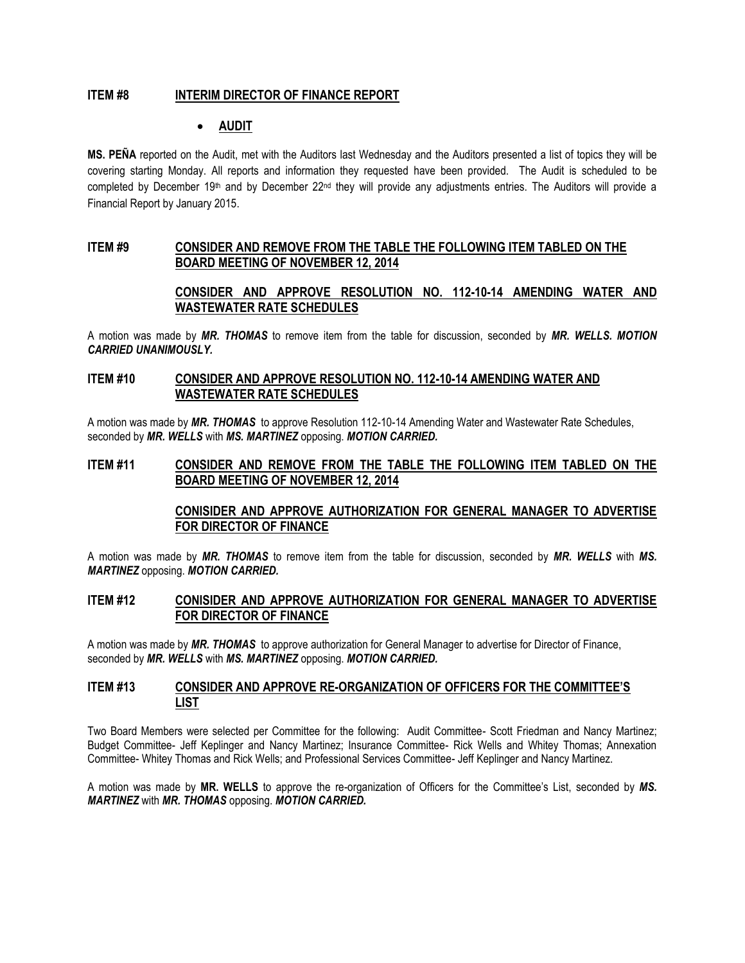### **ITEM #8 INTERIM DIRECTOR OF FINANCE REPORT**

## **AUDIT**

**MS. PEÑA** reported on the Audit, met with the Auditors last Wednesday and the Auditors presented a list of topics they will be covering starting Monday. All reports and information they requested have been provided. The Audit is scheduled to be completed by December 19<sup>th</sup> and by December  $22^{nd}$  they will provide any adjustments entries. The Auditors will provide a Financial Report by January 2015.

#### **ITEM #9 CONSIDER AND REMOVE FROM THE TABLE THE FOLLOWING ITEM TABLED ON THE BOARD MEETING OF NOVEMBER 12, 2014**

# **CONSIDER AND APPROVE RESOLUTION NO. 112-10-14 AMENDING WATER AND WASTEWATER RATE SCHEDULES**

A motion was made by *MR. THOMAS* to remove item from the table for discussion, seconded by *MR. WELLS. MOTION CARRIED UNANIMOUSLY.*

#### **ITEM #10 CONSIDER AND APPROVE RESOLUTION NO. 112-10-14 AMENDING WATER AND WASTEWATER RATE SCHEDULES**

A motion was made by *MR. THOMAS* to approve Resolution 112-10-14 Amending Water and Wastewater Rate Schedules, seconded by *MR. WELLS* with *MS. MARTINEZ* opposing. *MOTION CARRIED.*

#### **ITEM #11 CONSIDER AND REMOVE FROM THE TABLE THE FOLLOWING ITEM TABLED ON THE BOARD MEETING OF NOVEMBER 12, 2014**

## **CONISIDER AND APPROVE AUTHORIZATION FOR GENERAL MANAGER TO ADVERTISE FOR DIRECTOR OF FINANCE**

A motion was made by *MR. THOMAS* to remove item from the table for discussion, seconded by *MR. WELLS* with *MS. MARTINEZ* opposing. *MOTION CARRIED.*

#### **ITEM #12 CONISIDER AND APPROVE AUTHORIZATION FOR GENERAL MANAGER TO ADVERTISE FOR DIRECTOR OF FINANCE**

A motion was made by *MR. THOMAS* to approve authorization for General Manager to advertise for Director of Finance, seconded by *MR. WELLS* with *MS. MARTINEZ* opposing. *MOTION CARRIED.* 

#### **ITEM #13 CONSIDER AND APPROVE RE-ORGANIZATION OF OFFICERS FOR THE COMMITTEE'S LIST**

Two Board Members were selected per Committee for the following: Audit Committee- Scott Friedman and Nancy Martinez; Budget Committee- Jeff Keplinger and Nancy Martinez; Insurance Committee- Rick Wells and Whitey Thomas; Annexation Committee- Whitey Thomas and Rick Wells; and Professional Services Committee- Jeff Keplinger and Nancy Martinez.

A motion was made by **MR. WELLS** to approve the re-organization of Officers for the Committee's List, seconded by *MS. MARTINEZ* with *MR. THOMAS* opposing. *MOTION CARRIED.*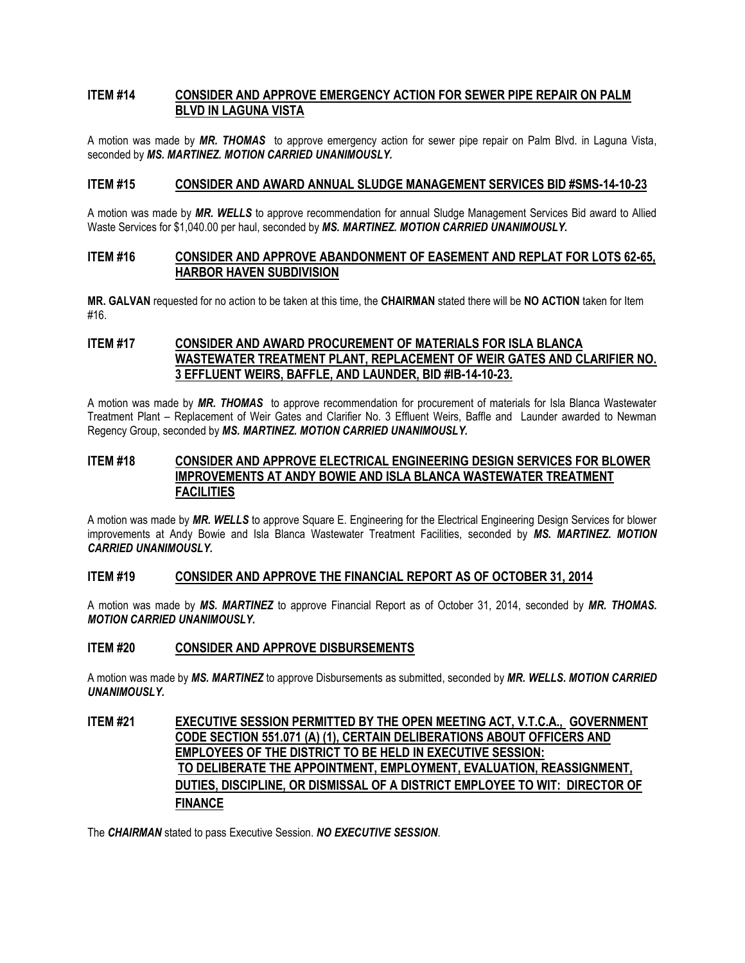# **ITEM #14 CONSIDER AND APPROVE EMERGENCY ACTION FOR SEWER PIPE REPAIR ON PALM BLVD IN LAGUNA VISTA**

A motion was made by *MR. THOMAS* to approve emergency action for sewer pipe repair on Palm Blvd. in Laguna Vista, seconded by *MS. MARTINEZ. MOTION CARRIED UNANIMOUSLY.*

### **ITEM #15 CONSIDER AND AWARD ANNUAL SLUDGE MANAGEMENT SERVICES BID #SMS-14-10-23**

A motion was made by *MR. WELLS* to approve recommendation for annual Sludge Management Services Bid award to Allied Waste Services for \$1,040.00 per haul, seconded by *MS. MARTINEZ. MOTION CARRIED UNANIMOUSLY.*

### **ITEM #16 CONSIDER AND APPROVE ABANDONMENT OF EASEMENT AND REPLAT FOR LOTS 62-65, HARBOR HAVEN SUBDIVISION**

**MR. GALVAN** requested for no action to be taken at this time, the **CHAIRMAN** stated there will be **NO ACTION** taken for Item #16.

# **ITEM #17 CONSIDER AND AWARD PROCUREMENT OF MATERIALS FOR ISLA BLANCA WASTEWATER TREATMENT PLANT, REPLACEMENT OF WEIR GATES AND CLARIFIER NO. 3 EFFLUENT WEIRS, BAFFLE, AND LAUNDER, BID #IB-14-10-23.**

A motion was made by *MR. THOMAS* to approve recommendation for procurement of materials for Isla Blanca Wastewater Treatment Plant – Replacement of Weir Gates and Clarifier No. 3 Effluent Weirs, Baffle and Launder awarded to Newman Regency Group, seconded by *MS. MARTINEZ. MOTION CARRIED UNANIMOUSLY.*

# **ITEM #18 CONSIDER AND APPROVE ELECTRICAL ENGINEERING DESIGN SERVICES FOR BLOWER IMPROVEMENTS AT ANDY BOWIE AND ISLA BLANCA WASTEWATER TREATMENT FACILITIES**

A motion was made by *MR. WELLS* to approve Square E. Engineering for the Electrical Engineering Design Services for blower improvements at Andy Bowie and Isla Blanca Wastewater Treatment Facilities, seconded by *MS. MARTINEZ. MOTION CARRIED UNANIMOUSLY.*

#### **ITEM #19 CONSIDER AND APPROVE THE FINANCIAL REPORT AS OF OCTOBER 31, 2014**

A motion was made by *MS. MARTINEZ* to approve Financial Report as of October 31, 2014, seconded by *MR. THOMAS. MOTION CARRIED UNANIMOUSLY.*

## **ITEM #20 CONSIDER AND APPROVE DISBURSEMENTS**

A motion was made by *MS. MARTINEZ* to approve Disbursements as submitted, seconded by *MR. WELLS. MOTION CARRIED UNANIMOUSLY.*

# **ITEM #21 EXECUTIVE SESSION PERMITTED BY THE OPEN MEETING ACT, V.T.C.A., GOVERNMENT CODE SECTION 551.071 (A) (1), CERTAIN DELIBERATIONS ABOUT OFFICERS AND EMPLOYEES OF THE DISTRICT TO BE HELD IN EXECUTIVE SESSION: TO DELIBERATE THE APPOINTMENT, EMPLOYMENT, EVALUATION, REASSIGNMENT, DUTIES, DISCIPLINE, OR DISMISSAL OF A DISTRICT EMPLOYEE TO WIT: DIRECTOR OF FINANCE**

The *CHAIRMAN* stated to pass Executive Session. *NO EXECUTIVE SESSION*.